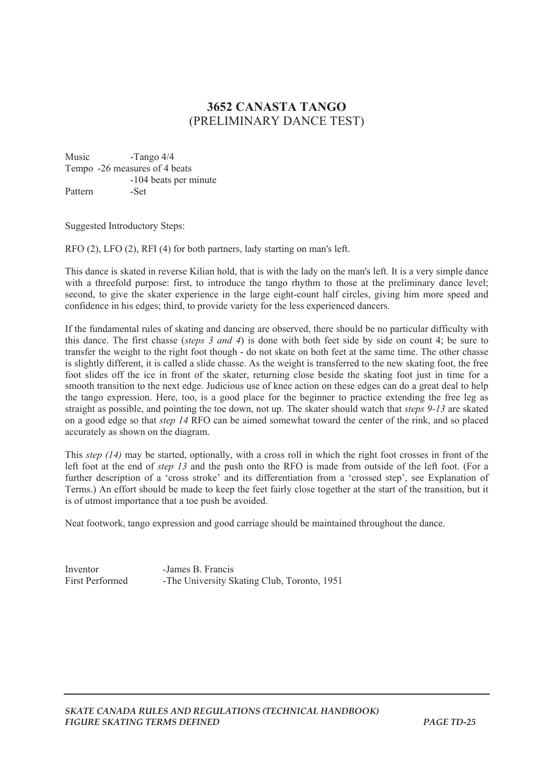## **3652 CANASTA TANGO**  (PRELIMINARY DANCE TEST)

Music -Tango 4/4 Tempo -26 measures of 4 beats -104 beats per minute Pattern -Set

Suggested Introductory Steps:

RFO (2), LFO (2), RFI (4) for both partners, lady starting on man's left.

This dance is skated in reverse Kilian hold, that is with the lady on the man's left. It is a very simple dance with a threefold purpose: first, to introduce the tango rhythm to those at the preliminary dance level; second, to give the skater experience in the large eight-count half circles, giving him more speed and confidence in his edges; third, to provide variety for the less experienced dancers.

If the fundamental rules of skating and dancing are observed, there should be no particular difficulty with this dance. The first chasse (*steps 3 and 4*) is done with both feet side by side on count 4; be sure to transfer the weight to the right foot though - do not skate on both feet at the same time. The other chasse is slightly different, it is called a slide chasse. As the weight is transferred to the new skating foot, the free foot slides off the ice in front of the skater, returning close beside the skating foot just in time for a smooth transition to the next edge. Judicious use of knee action on these edges can do a great deal to help the tango expression. Here, too, is a good place for the beginner to practice extending the free leg as straight as possible, and pointing the toe down, not up. The skater should watch that *steps 9-13* are skated on a good edge so that *step 14* RFO can be aimed somewhat toward the center of the rink, and so placed accurately as shown on the diagram.

This *step (14)* may be started, optionally, with a cross roll in which the right foot crosses in front of the left foot at the end of *step 13* and the push onto the RFO is made from outside of the left foot. (For a further description of a 'cross stroke' and its differentiation from a 'crossed step', see Explanation of Terms.) An effort should be made to keep the feet fairly close together at the start of the transition, but it is of utmost importance that a toe push be avoided.

Neat footwork, tango expression and good carriage should be maintained throughout the dance.

Inventor -James B. Francis First Performed -The University Skating Club, Toronto, 1951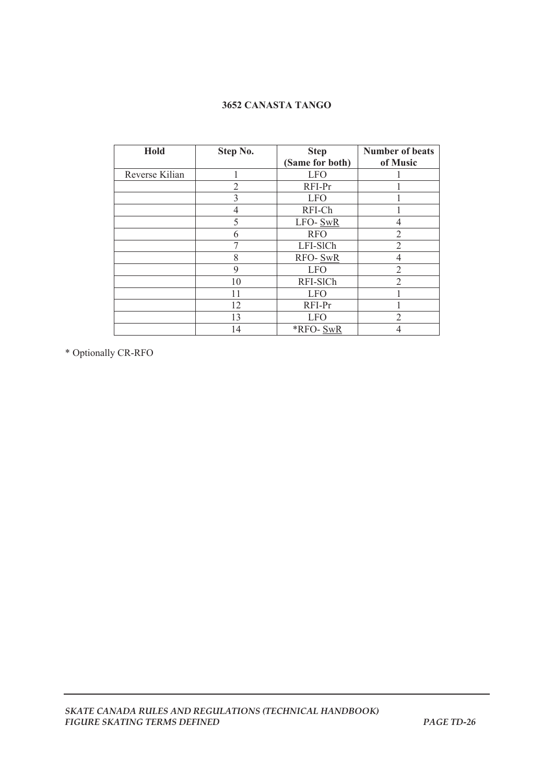## **3652 CANASTA TANGO**

| Hold           | Step No. | <b>Step</b>     | <b>Number of beats</b> |
|----------------|----------|-----------------|------------------------|
|                |          | (Same for both) | of Music               |
| Reverse Kilian |          | <b>LFO</b>      |                        |
|                | 2        | RFI-Pr          |                        |
|                | 3        | <b>LFO</b>      |                        |
|                | 4        | RFI-Ch          |                        |
|                | 5        | LFO-SwR         |                        |
|                | 6        | <b>RFO</b>      | $\overline{2}$         |
|                |          | LFI-SICh        | 2                      |
|                | 8        | RFO-SwR         | 4                      |
|                | 9        | <b>LFO</b>      | $\overline{2}$         |
|                | 10       | RFI-SICh        | 2                      |
|                | 11       | <b>LFO</b>      |                        |
|                | 12       | RFI-Pr          |                        |
|                | 13       | <b>LFO</b>      | 2                      |
|                | 14       | *RFO-SwR        |                        |

\* Optionally CR-RFO